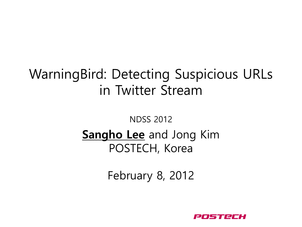#### WarningBird: Detecting Suspicious URLs in Twitter Stream

#### NDSS 2012 **Sangho Lee** and Jong Kim POSTECH, Korea

February 8, 2012

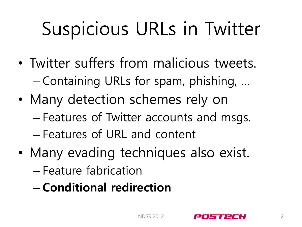## Suspicious URLs in Twitter

- Twitter suffers from malicious tweets. – Containing URLs for spam, phishing, …
- Many detection schemes rely on – Features of Twitter accounts and msgs. – Features of URL and content
- Many evading techniques also exist. – Feature fabrication
	- **Conditional redirection**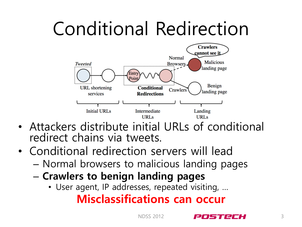## Conditional Redirection



- Attackers distribute initial URLs of conditional redirect chains via tweets.
- Conditional redirection servers will lead
	- Normal browsers to malicious landing pages
	- **Crawlers to benign landing pages**
		- User agent, IP addresses, repeated visiting, …

#### **Misclassifications can occur**

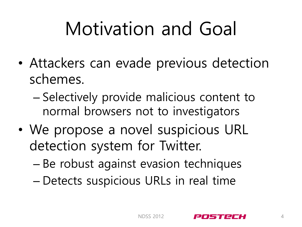## Motivation and Goal

- Attackers can evade previous detection schemes.
	- Selectively provide malicious content to normal browsers not to investigators
- We propose a novel suspicious URL detection system for Twitter.
	- Be robust against evasion techniques
	- Detects suspicious URLs in real time

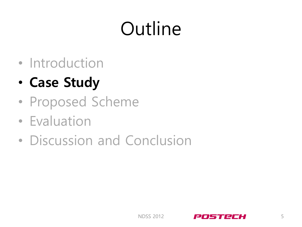## **Outline**

- Introduction
- **Case Study**
- Proposed Scheme
- Evaluation
- Discussion and Conclusion

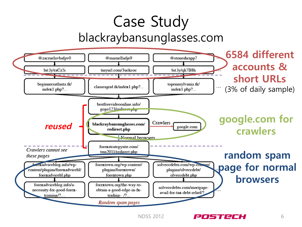### Case Study blackraybansunglasses.com



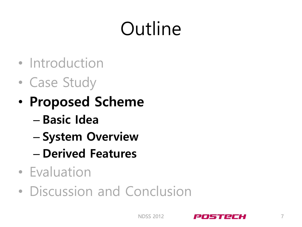## Outline

- Introduction
- Case Study
- **Proposed Scheme**
	- **Basic Idea**
	- **System Overview**
	- **Derived Features**
- Evaluation
- Discussion and Conclusion

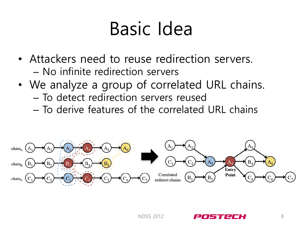## Basic Idea

- Attackers need to reuse redirection servers. – No infinite redirection servers
- We analyze a group of correlated URL chains. – To detect redirection servers reused
	- To derive features of the correlated URL chains





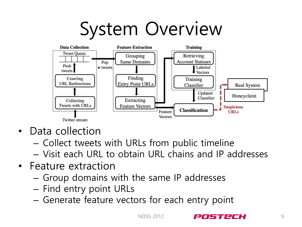## System Overview



- Data collection
	- Collect tweets with URLs from public timeline
	- Visit each URL to obtain URL chains and IP addresses
- Feature extraction
	- Group domains with the same IP addresses
	- Find entry point URLs
	- Generate feature vectors for each entry point

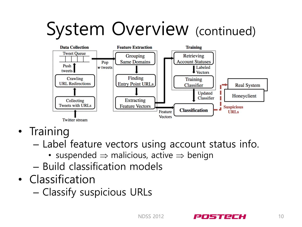## System Overview (continued)



- Training
	- Label feature vectors using account status info.
		- suspended  $\Rightarrow$  malicious, active  $\Rightarrow$  benign
	- Build classification models
- Classification
	- Classify suspicious URLs

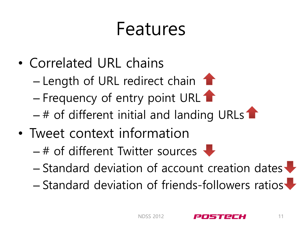### Features

- Correlated URL chains
	- $-$  Length of URL redirect chain  $\bullet$
	- Frequency of entry point URL 1
	- $-$  # of different initial and landing URLs
- Tweet context information
	- $-$  # of different Twitter sources  $\color{red}\blacktriangleright$
	- $-$  Standard deviation of account creation dates  $\blacktriangleright$
	- Standard deviation of friends-followers ratios

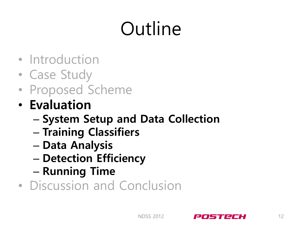## Outline

- Introduction
- Case Study
- Proposed Scheme
- **Evaluation**
	- **System Setup and Data Collection**
	- **Training Classifiers**
	- **Data Analysis**
	- **Detection Efficiency**
	- **Running Time**
- Discussion and Conclusion

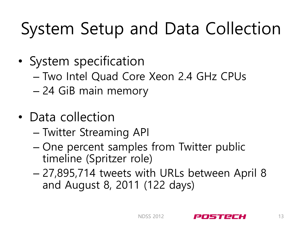## System Setup and Data Collection

- System specification
	- Two Intel Quad Core Xeon 2.4 GHz CPUs
	- 24 GiB main memory
- Data collection
	- Twitter Streaming API
	- One percent samples from Twitter public timeline (Spritzer role)
	- 27,895,714 tweets with URLs between April 8 and August 8, 2011 (122 days)

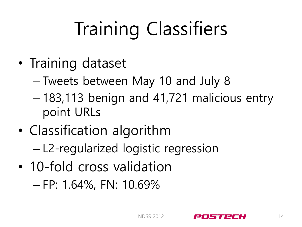# Training Classifiers

- Training dataset
	- Tweets between May 10 and July 8
	- 183,113 benign and 41,721 malicious entry point URLs
- Classification algorithm – L2-regularized logistic regression
- 10-fold cross validation

– FP: 1.64%, FN: 10.69%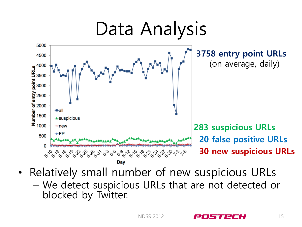

• Relatively small number of new suspicious URLs – We detect suspicious URLs that are not detected or blocked by Twitter.

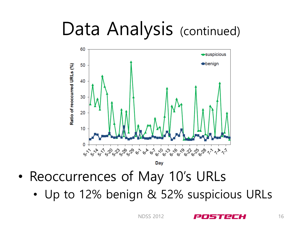## Data Analysis (continued)



- Reoccurrences of May 10's URLs
	- Up to 12% benign & 52% suspicious URLs

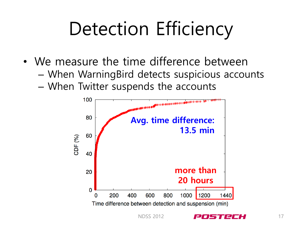## Detection Efficiency

- We measure the time difference between
	- When WarningBird detects suspicious accounts
	- When Twitter suspends the accounts



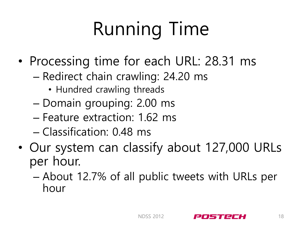# Running Time

- Processing time for each URL: 28.31 ms
	- Redirect chain crawling: 24.20 ms
		- Hundred crawling threads
	- Domain grouping: 2.00 ms
	- Feature extraction: 1.62 ms
	- Classification: 0.48 ms
- Our system can classify about 127,000 URLs per hour.
	- About 12.7% of all public tweets with URLs per hour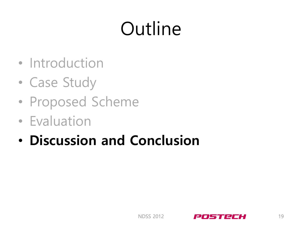## Outline

- Introduction
- Case Study
- Proposed Scheme
- Evaluation
- **Discussion and Conclusion**

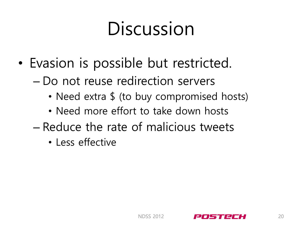## Discussion

- Evasion is possible but restricted.
	- Do not reuse redirection servers
		- Need extra \$ (to buy compromised hosts)
		- Need more effort to take down hosts
	- Reduce the rate of malicious tweets
		- Less effective